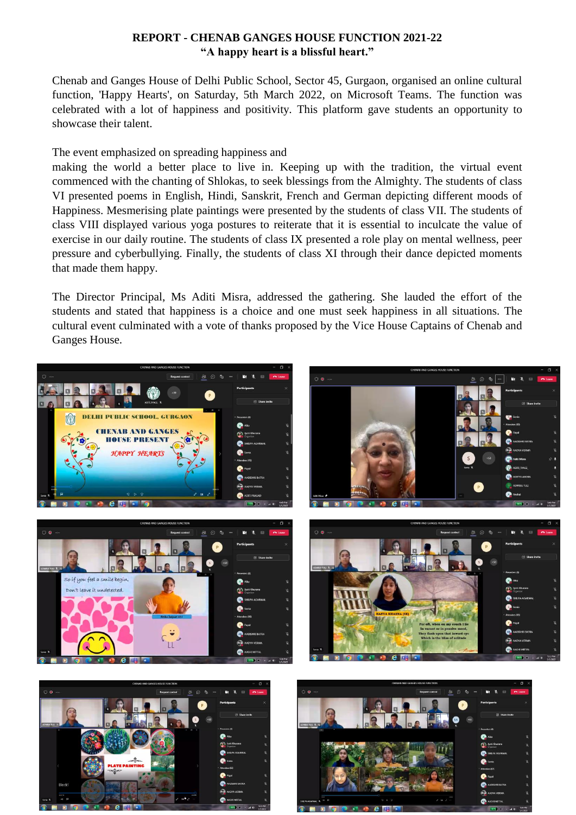## **REPORT - CHENAB GANGES HOUSE FUNCTION 2021-22 "A happy heart is a blissful heart."**

Chenab and Ganges House of Delhi Public School, Sector 45, Gurgaon, organised an online cultural function, 'Happy Hearts', on Saturday, 5th March 2022, on Microsoft Teams. The function was celebrated with a lot of happiness and positivity. This platform gave students an opportunity to showcase their talent.

The event emphasized on spreading happiness and

making the world a better place to live in. Keeping up with the tradition, the virtual event commenced with the chanting of Shlokas, to seek blessings from the Almighty. The students of class VI presented poems in English, Hindi, Sanskrit, French and German depicting different moods of Happiness. Mesmerising plate paintings were presented by the students of class VII. The students of class VIII displayed various yoga postures to reiterate that it is essential to inculcate the value of exercise in our daily routine. The students of class IX presented a role play on mental wellness, peer pressure and cyberbullying. Finally, the students of class XI through their dance depicted moments that made them happy.

The Director Principal, Ms Aditi Misra, addressed the gathering. She lauded the effort of the students and stated that happiness is a choice and one must seek happiness in all situations. The cultural event culminated with a vote of thanks proposed by the Vice House Captains of Chenab and Ganges House.